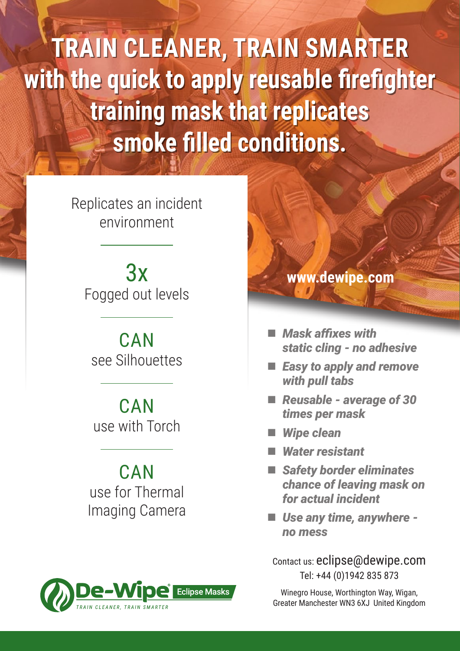**TRAIN CLEANER, TRAIN SMARTER with the quick to apply reusable firefighter training mask that replicates smoke filled conditions.**

> Replicates an incident environment

3x Fogged out levels

**CAN** see Silhouettes

**CAN** use with Torch

**CAN** use for Thermal Imaging Camera



## **www.dewipe.com**

- *Mask affixes with static cling - no adhesive*
- *Easy to apply and remove with pull tabs*
- *Reusable average of 30 times per mask*
- *Wipe clean*
- *Water resistant*
- *Safety border eliminates chance of leaving mask on for actual incident*
- *Use any time, anywhere no mess*

Contact us: eclipse@dewipe.com Tel: +44 (0)1942 835 873

Winegro House, Worthington Way, Wigan, Greater Manchester WN3 6XJ United Kingdom